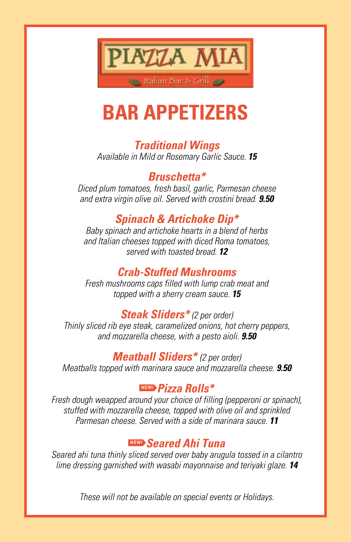

# **BAR APPETIZERS**

### *Traditional Wings*

*Available in Mild or Rosemary Garlic Sauce. 15*

*Bruschetta\** 

*Diced plum tomatoes, fresh basil, garlic, Parmesan cheese and extra virgin olive oil. Served with crostini bread. 9.50*

#### *Spinach & Artichoke Dip\**

*Baby spinach and artichoke hearts in a blend of herbs and Italian cheeses topped with diced Roma tomatoes, served with toasted bread. 12*

#### *Crab-Stuffed Mushrooms*

*Fresh mushrooms caps filled with lump crab meat and topped with a sherry cream sauce. 15*

#### *Steak Sliders\* (2 per order)*

*Thinly sliced rib eye steak, caramelized onions, hot cherry peppers, and mozzarella cheese, with a pesto aioli. 9.50*

*Meatball Sliders\* (2 per order) Meatballs topped with marinara sauce and mozzarella cheese. 9.50*

#### NEW! *Pizza Rolls\**

*Fresh dough weapped around your choice of filling (pepperoni or spinach), stuffed with mozzarella cheese, topped with olive oil and sprinkled Parmesan cheese. Served with a side of marinara sauce. 11*

#### NEW! *Seared Ahi Tuna*

*Seared ahi tuna thinly sliced served over baby arugula tossed in a cilantro lime dressing garnished with wasabi mayonnaise and teriyaki glaze. 14*

*These will not be available on special events or Holidays.*